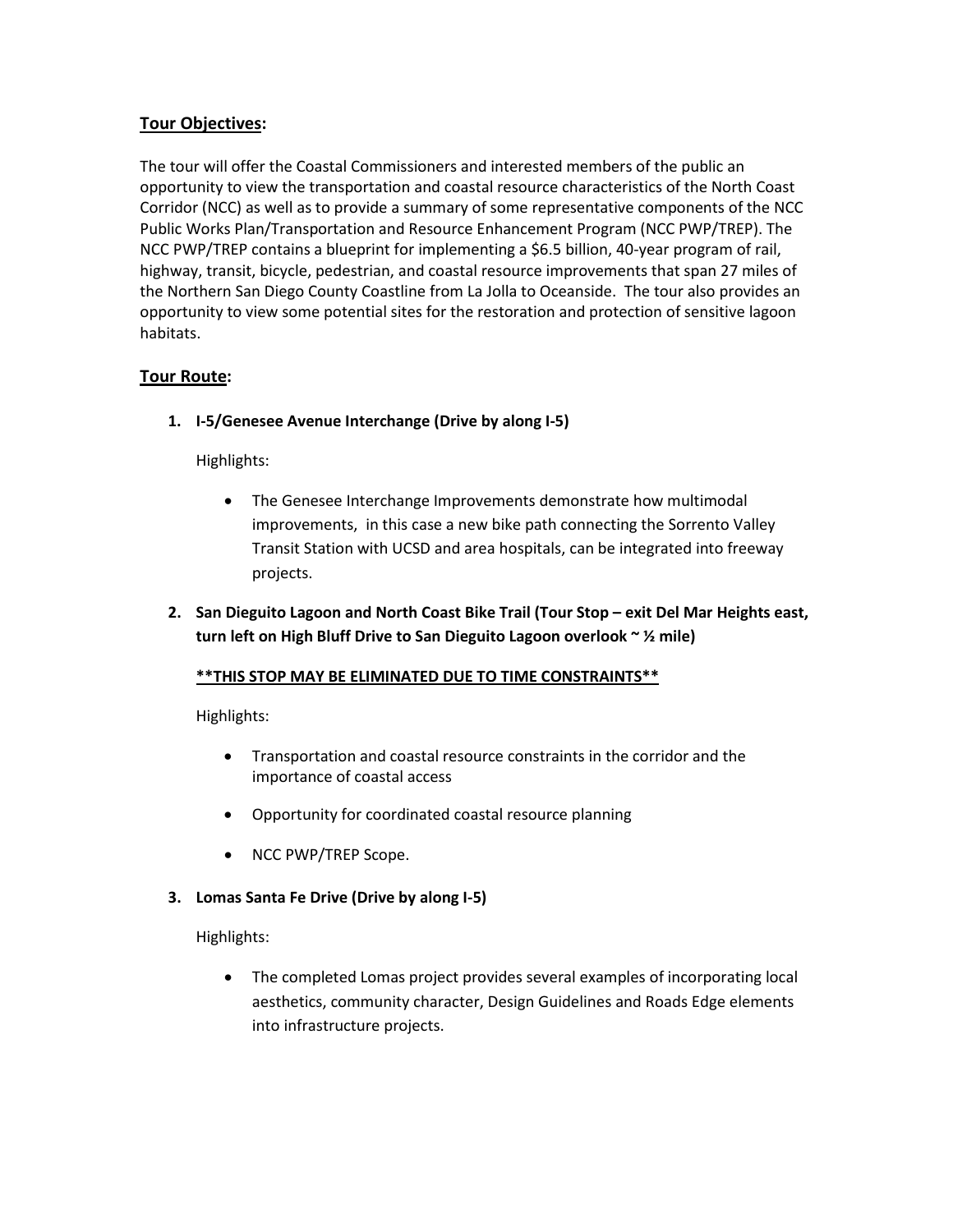## **Tour Objectives:**

The tour will offer the Coastal Commissioners and interested members of the public an opportunity to view the transportation and coastal resource characteristics of the North Coast Corridor (NCC) as well as to provide a summary of some representative components of the NCC Public Works Plan/Transportation and Resource Enhancement Program (NCC PWP/TREP). The NCC PWP/TREP contains a blueprint for implementing a \$6.5 billion, 40-year program of rail, highway, transit, bicycle, pedestrian, and coastal resource improvements that span 27 miles of the Northern San Diego County Coastline from La Jolla to Oceanside. The tour also provides an opportunity to view some potential sites for the restoration and protection of sensitive lagoon habitats.

## **Tour Route:**

**1. I-5/Genesee Avenue Interchange (Drive by along I-5)**

Highlights:

- The Genesee Interchange Improvements demonstrate how multimodal improvements, in this case a new bike path connecting the Sorrento Valley Transit Station with UCSD and area hospitals, can be integrated into freeway projects.
- **2. San Dieguito Lagoon and North Coast Bike Trail (Tour Stop – exit Del Mar Heights east, turn left on High Bluff Drive to San Dieguito Lagoon overlook ~ ½ mile)**

## **\*\*THIS STOP MAY BE ELIMINATED DUE TO TIME CONSTRAINTS\*\***

Highlights:

- Transportation and coastal resource constraints in the corridor and the importance of coastal access
- Opportunity for coordinated coastal resource planning
- NCC PWP/TREP Scope.
- **3. Lomas Santa Fe Drive (Drive by along I-5)**

Highlights:

• The completed Lomas project provides several examples of incorporating local aesthetics, community character, Design Guidelines and Roads Edge elements into infrastructure projects.